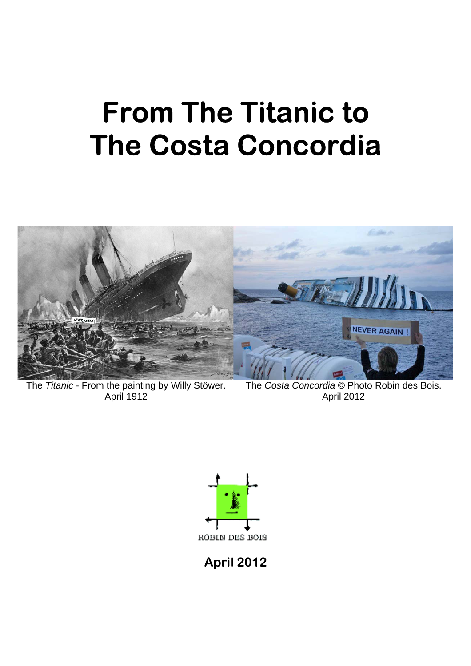# **From The Titanic to The Costa Concordia**



The *Titanic* - From the painting by Willy Stöwer. April 1912

The *Costa Concordia* © Photo Robin des Bois. April 2012



**April 2012**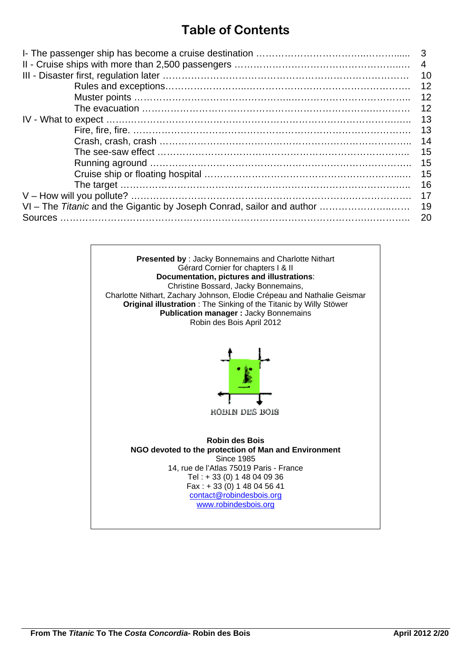# **Table of Contents**

| -3<br>4<br>10                                                         |    |  |  |  |  |  |  |  |  |
|-----------------------------------------------------------------------|----|--|--|--|--|--|--|--|--|
|                                                                       | 12 |  |  |  |  |  |  |  |  |
|                                                                       | 12 |  |  |  |  |  |  |  |  |
|                                                                       | 12 |  |  |  |  |  |  |  |  |
|                                                                       | 13 |  |  |  |  |  |  |  |  |
|                                                                       | 13 |  |  |  |  |  |  |  |  |
|                                                                       | 14 |  |  |  |  |  |  |  |  |
|                                                                       | 15 |  |  |  |  |  |  |  |  |
|                                                                       | 15 |  |  |  |  |  |  |  |  |
|                                                                       | 15 |  |  |  |  |  |  |  |  |
|                                                                       | 16 |  |  |  |  |  |  |  |  |
|                                                                       | 17 |  |  |  |  |  |  |  |  |
| VI – The Titanic and the Gigantic by Joseph Conrad, sailor and author | 19 |  |  |  |  |  |  |  |  |
| <b>Sources</b>                                                        | 20 |  |  |  |  |  |  |  |  |

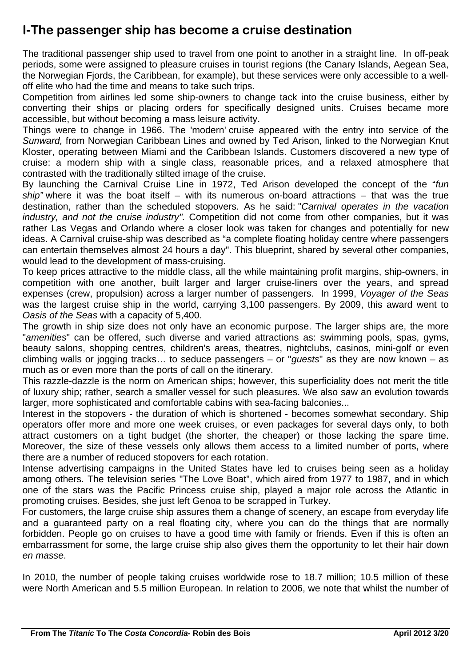## **I-The passenger ship has become a cruise destination**

The traditional passenger ship used to travel from one point to another in a straight line. In off-peak periods, some were assigned to pleasure cruises in tourist regions (the Canary Islands, Aegean Sea, the Norwegian Fjords, the Caribbean, for example), but these services were only accessible to a welloff elite who had the time and means to take such trips.

Competition from airlines led some ship-owners to change tack into the cruise business, either by converting their ships or placing orders for specifically designed units. Cruises became more accessible, but without becoming a mass leisure activity.

Things were to change in 1966. The 'modern' cruise appeared with the entry into service of the *Sunward,* from Norwegian Caribbean Lines and owned by Ted Arison, linked to the Norwegian Knut Kloster, operating between Miami and the Caribbean Islands. Customers discovered a new type of cruise: a modern ship with a single class, reasonable prices, and a relaxed atmosphere that contrasted with the traditionally stilted image of the cruise.

By launching the Carnival Cruise Line in 1972, Ted Arison developed the concept of the "*fun ship"* where it was the boat itself – with its numerous on-board attractions – that was the true destination, rather than the scheduled stopovers. As he said: "*Carnival operates in the vacation industry, and not the cruise industry".* Competition did not come from other companies, but it was rather Las Vegas and Orlando where a closer look was taken for changes and potentially for new ideas. A Carnival cruise-ship was described as "a complete floating holiday centre where passengers can entertain themselves almost 24 hours a day". This blueprint, shared by several other companies, would lead to the development of mass-cruising.

To keep prices attractive to the middle class, all the while maintaining profit margins, ship-owners, in competition with one another, built larger and larger cruise-liners over the years, and spread expenses (crew, propulsion) across a larger number of passengers. In 1999, *Voyager of the Seas*  was the largest cruise ship in the world, carrying 3,100 passengers. By 2009, this award went to *Oasis of the Seas* with a capacity of 5,400.

The growth in ship size does not only have an economic purpose. The larger ships are, the more "*amenities*" can be offered, such diverse and varied attractions as: swimming pools, spas, gyms, beauty salons, shopping centres, children's areas, theatres, nightclubs, casinos, mini-golf or even climbing walls or jogging tracks… to seduce passengers – or "*guests*" as they are now known – as much as or even more than the ports of call on the itinerary.

This razzle-dazzle is the norm on American ships; however, this superficiality does not merit the title of luxury ship; rather, search a smaller vessel for such pleasures. We also saw an evolution towards larger, more sophisticated and comfortable cabins with sea-facing balconies...

Interest in the stopovers - the duration of which is shortened - becomes somewhat secondary. Ship operators offer more and more one week cruises, or even packages for several days only, to both attract customers on a tight budget (the shorter, the cheaper) or those lacking the spare time. Moreover, the size of these vessels only allows them access to a limited number of ports, where there are a number of reduced stopovers for each rotation.

Intense advertising campaigns in the United States have led to cruises being seen as a holiday among others. The television series "The Love Boat", which aired from 1977 to 1987, and in which one of the stars was the Pacific Princess cruise ship, played a major role across the Atlantic in promoting cruises. Besides, she just left Genoa to be scrapped in Turkey.

For customers, the large cruise ship assures them a change of scenery, an escape from everyday life and a guaranteed party on a real floating city, where you can do the things that are normally forbidden. People go on cruises to have a good time with family or friends. Even if this is often an embarrassment for some, the large cruise ship also gives them the opportunity to let their hair down *en masse*.

In 2010, the number of people taking cruises worldwide rose to 18.7 million; 10.5 million of these were North American and 5.5 million European. In relation to 2006, we note that whilst the number of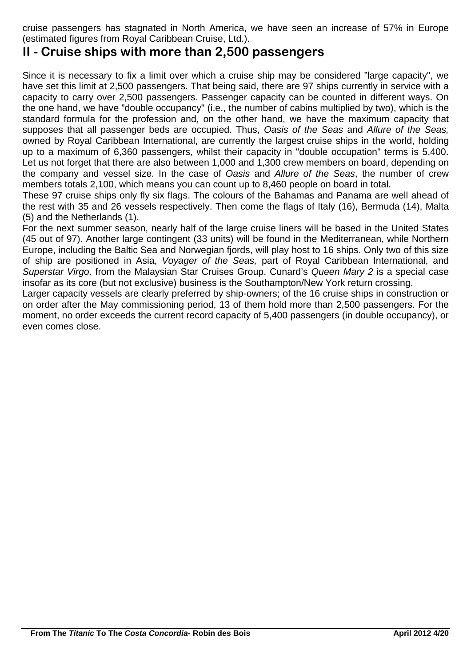cruise passengers has stagnated in North America, we have seen an increase of 57% in Europe (estimated figures from Royal Caribbean Cruise, Ltd.).

### **II - Cruise ships with more than 2,500 passengers**

Since it is necessary to fix a limit over which a cruise ship may be considered "large capacity", we have set this limit at 2,500 passengers. That being said, there are 97 ships currently in service with a capacity to carry over 2,500 passengers. Passenger capacity can be counted in different ways. On the one hand, we have "double occupancy" (i.e., the number of cabins multiplied by two), which is the standard formula for the profession and, on the other hand, we have the maximum capacity that supposes that all passenger beds are occupied. Thus, *Oasis of the Seas* and *Allure of the Seas,* owned by Royal Caribbean International, are currently the largest cruise ships in the world, holding up to a maximum of 6,360 passengers, whilst their capacity in "double occupation" terms is 5,400. Let us not forget that there are also between 1,000 and 1,300 crew members on board, depending on the company and vessel size. In the case of *Oasis* and *Allure of the Seas*, the number of crew members totals 2,100, which means you can count up to 8,460 people on board in total.

These 97 cruise ships only fly six flags. The colours of the Bahamas and Panama are well ahead of the rest with 35 and 26 vessels respectively. Then come the flags of Italy (16), Bermuda (14), Malta (5) and the Netherlands (1).

For the next summer season, nearly half of the large cruise liners will be based in the United States (45 out of 97). Another large contingent (33 units) will be found in the Mediterranean, while Northern Europe, including the Baltic Sea and Norwegian fjords, will play host to 16 ships. Only two of this size of ship are positioned in Asia, *Voyager of the Seas,* part of Royal Caribbean International, and *Superstar Virgo,* from the Malaysian Star Cruises Group. Cunard's *Queen Mary 2* is a special case insofar as its core (but not exclusive) business is the Southampton/New York return crossing.

Larger capacity vessels are clearly preferred by ship-owners; of the 16 cruise ships in construction or on order after the May commissioning period, 13 of them hold more than 2,500 passengers. For the moment, no order exceeds the current record capacity of 5,400 passengers (in double occupancy), or even comes close.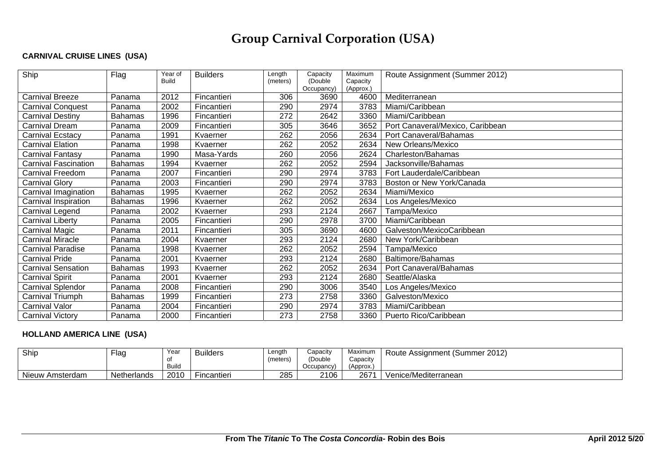# **Group Carnival Corporation (USA)**

#### **CARNIVAL CRUISE LINES (USA)**

| Ship                        | Flag           | Year of      | <b>Builders</b> | Length   | Capacity              | Maximum               | Route Assignment (Summer 2012)   |
|-----------------------------|----------------|--------------|-----------------|----------|-----------------------|-----------------------|----------------------------------|
|                             |                | <b>Build</b> |                 | (meters) | (Double<br>Occupancy) | Capacity<br>(Approx.) |                                  |
| <b>Carnival Breeze</b>      | Panama         | 2012         | Fincantieri     | 306      | 3690                  | 4600                  | Mediterranean                    |
| <b>Carnival Conquest</b>    | Panama         | 2002         | Fincantieri     | 290      | 2974                  | 3783                  | Miami/Caribbean                  |
| <b>Carnival Destiny</b>     | <b>Bahamas</b> | 1996         | Fincantieri     | 272      | 2642                  | 3360                  | Miami/Caribbean                  |
| <b>Carnival Dream</b>       | Panama         | 2009         | Fincantieri     | 305      | 3646                  | 3652                  | Port Canaveral/Mexico, Caribbean |
| <b>Carnival Ecstacy</b>     | Panama         | 1991         | Kvaerner        | 262      | 2056                  | 2634                  | Port Canaveral/Bahamas           |
| <b>Carnival Elation</b>     | Panama         | 1998         | Kvaerner        | 262      | 2052                  | 2634                  | New Orleans/Mexico               |
| Carnival Fantasy            | Panama         | 1990         | Masa-Yards      | 260      | 2056                  | 2624                  | Charleston/Bahamas               |
| <b>Carnival Fascination</b> | <b>Bahamas</b> | 1994         | Kvaerner        | 262      | 2052                  | 2594                  | Jacksonville/Bahamas             |
| <b>Carnival Freedom</b>     | Panama         | 2007         | Fincantieri     | 290      | 2974                  | 3783                  | Fort Lauderdale/Caribbean        |
| <b>Carnival Glory</b>       | Panama         | 2003         | Fincantieri     | 290      | 2974                  | 3783                  | Boston or New York/Canada        |
| Carnival Imagination        | <b>Bahamas</b> | 1995         | Kvaerner        | 262      | 2052                  | 2634                  | Miami/Mexico                     |
| Carnival Inspiration        | <b>Bahamas</b> | 1996         | Kvaerner        | 262      | 2052                  | 2634                  | Los Angeles/Mexico               |
| Carnival Legend             | Panama         | 2002         | Kvaerner        | 293      | 2124                  | 2667                  | Tampa/Mexico                     |
| <b>Carnival Liberty</b>     | Panama         | 2005         | Fincantieri     | 290      | 2978                  | 3700                  | Miami/Caribbean                  |
| <b>Carnival Magic</b>       | Panama         | 2011         | Fincantieri     | 305      | 3690                  | 4600                  | Galveston/MexicoCaribbean        |
| <b>Carnival Miracle</b>     | Panama         | 2004         | Kvaerner        | 293      | 2124                  | 2680                  | New York/Caribbean               |
| <b>Carnival Paradise</b>    | Panama         | 1998         | Kvaerner        | 262      | 2052                  | 2594                  | Tampa/Mexico                     |
| <b>Carnival Pride</b>       | Panama         | 2001         | Kvaerner        | 293      | 2124                  | 2680                  | Baltimore/Bahamas                |
| <b>Carnival Sensation</b>   | <b>Bahamas</b> | 1993         | Kvaerner        | 262      | 2052                  | 2634                  | Port Canaveral/Bahamas           |
| <b>Carnival Spirit</b>      | Panama         | 2001         | Kvaerner        | 293      | 2124                  | 2680                  | Seattle/Alaska                   |
| <b>Carnival Splendor</b>    | Panama         | 2008         | Fincantieri     | 290      | 3006                  | 3540                  | Los Angeles/Mexico               |
| Carnival Triumph            | <b>Bahamas</b> | 1999         | Fincantieri     | 273      | 2758                  | 3360                  | Galveston/Mexico                 |
| <b>Carnival Valor</b>       | Panama         | 2004         | Fincantieri     | 290      | 2974                  | 3783                  | Miami/Caribbean                  |
| <b>Carnival Victory</b>     | Panama         | 2000         | Fincantieri     | 273      | 2758                  | 3360                  | Puerto Rico/Caribbean            |

#### **HOLLAND AMERICA LINE (USA)**

| Ship            | Flaq        | Year         | <b>Builders</b> | Length   | Capacity   | Maximum  | Route Assignment (Summer 2012) |
|-----------------|-------------|--------------|-----------------|----------|------------|----------|--------------------------------|
|                 |             | of           |                 | (meters) | (Double)   | Capacity |                                |
|                 |             | <b>Build</b> |                 |          | Occupancy) | (Approx. |                                |
| Nieuw Amsterdam | Netherlands | 2010         | Fincantieri     | 285      | 2106       | 2671     | Venice/Mediterranean           |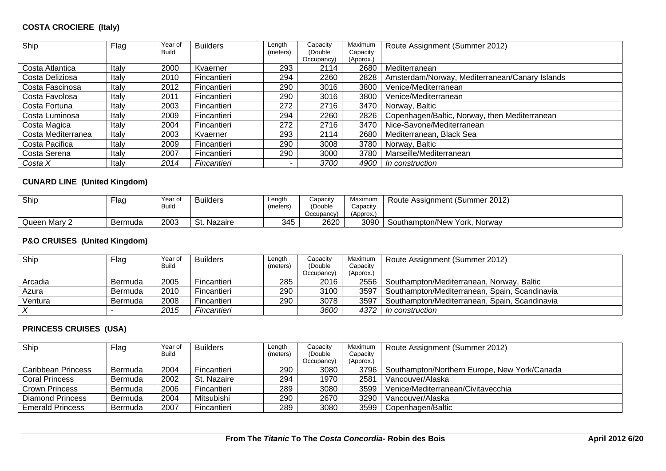#### **COSTA CROCIERE (Italy)**

| Ship               | Flag  | Year of<br><b>Build</b> | <b>Builders</b> | Length<br>(meters) | Capacity<br>(Double) | Maximum<br>Capacity | Route Assignment (Summer 2012)                 |
|--------------------|-------|-------------------------|-----------------|--------------------|----------------------|---------------------|------------------------------------------------|
|                    |       |                         |                 |                    | Occupancy)           | (Approx.)           |                                                |
| Costa Atlantica    | Italy | 2000                    | Kvaerner        | 293                | 2114                 | 2680                | Mediterranean                                  |
| Costa Deliziosa    | Italy | 2010                    | Fincantieri     | 294                | 2260                 | 2828                | Amsterdam/Norway, Mediterranean/Canary Islands |
| Costa Fascinosa    | Italy | 2012                    | Fincantieri     | 290                | 3016                 | 3800                | Venice/Mediterranean                           |
| Costa Favolosa     | Italy | 2011                    | Fincantieri     | 290                | 3016                 | 3800                | Venice/Mediterranean                           |
| Costa Fortuna      | Italy | 2003                    | Fincantieri     | 272                | 2716                 | 3470                | Norway, Baltic                                 |
| Costa Luminosa     | Italy | 2009                    | Fincantieri     | 294                | 2260                 | 2826                | Copenhagen/Baltic, Norway, then Mediterranean  |
| Costa Magica       | Italy | 2004                    | Fincantieri     | 272                | 2716                 | 3470                | Nice-Savone/Mediterranean                      |
| Costa Mediterranea | Italy | 2003                    | Kvaerner        | 293                | 2114                 | 2680                | Mediterranean, Black Sea                       |
| Costa Pacifica     | Italy | 2009                    | Fincantieri     | 290                | 3008                 | 3780                | Norway, Baltic                                 |
| Costa Serena       | Italy | 2007                    | Fincantieri     | 290                | 3000                 | 3780                | Marseille/Mediterranean                        |
| Costa X            | Italy | 2014                    | Fincantieri     |                    | 3700                 | 4900                | In construction                                |

#### **CUNARD LINE (United Kingdom)**

| Ship         | -lag    | Year of<br><b>Build</b> | <b>Builders</b> | Length<br>(meters) | Capacity<br>'Double<br>Occupancy | Maximum<br>Capacity<br>$'$ Approx., | Route Assignment (Summer 2012) |
|--------------|---------|-------------------------|-----------------|--------------------|----------------------------------|-------------------------------------|--------------------------------|
| Queen Mary 2 | Bermuda | 2003                    | St.<br>Nazaire  | 345                | 2620                             | 3090                                | Southampton/New York, Norway   |

#### **P&O CRUISES (United Kingdom)**

| Ship      | Flag    | Year of      | <b>Builders</b> | Length   | Capacity   | Maximum   | Route Assignment (Summer 2012)                   |
|-----------|---------|--------------|-----------------|----------|------------|-----------|--------------------------------------------------|
|           |         | <b>Build</b> |                 | (meters) | (Double)   | Capacity  |                                                  |
|           |         |              |                 |          | Occupancy) | (Approx.) |                                                  |
| Arcadia   | Bermuda | 2005         | Fincantieri     | 285      | 2016       |           | 2556   Southampton/Mediterranean, Norway, Baltic |
| Azura     | Bermuda | 2010         | Fincantieri     | 290      | 3100       | 3597      | ' Southampton/Mediterranean, Spain, Scandinavia  |
| Ventura   | Bermuda | 2008         | Fincantieri     | 290      | 3078       | 3597      | Southampton/Mediterranean, Spain, Scandinavia    |
| $\sqrt{}$ |         | 2015         | Fincantieri     |          | 3600       | 4372      | ! In construction                                |

#### **PRINCESS CRUISES (USA)**

| Ship                      | Flag           | Year of      | <b>Builders</b> | Length   | Capacity   | Maximum   | Route Assignment (Summer 2012)                      |
|---------------------------|----------------|--------------|-----------------|----------|------------|-----------|-----------------------------------------------------|
|                           |                | <b>Build</b> |                 | (meters) | (Double    | Capacity  |                                                     |
|                           |                |              |                 |          | Occupancy) | (Approx.) |                                                     |
| <b>Caribbean Princess</b> | Bermuda        | 2004         | Fincantieri     | 290      | 3080       |           | 3796   Southampton/Northern Europe, New York/Canada |
| <b>Coral Princess</b>     | Bermuda        | 2002         | St. Nazaire     | 294      | 1970       | 2581      | Vancouver/Alaska                                    |
| <b>Crown Princess</b>     | <b>Bermuda</b> | 2006         | Fincantieri     | 289      | 3080       |           | 3599   Venice/Mediterranean/Civitavecchia           |
| Diamond Princess          | Bermuda        | 2004         | Mitsubishi      | 290      | 2670       | 3290 l    | Vancouver/Alaska                                    |
| <b>Emerald Princess</b>   | Bermuda        | 2007         | Fincantieri     | 289      | 3080       | 3599      | l Copenhagen/Baltic                                 |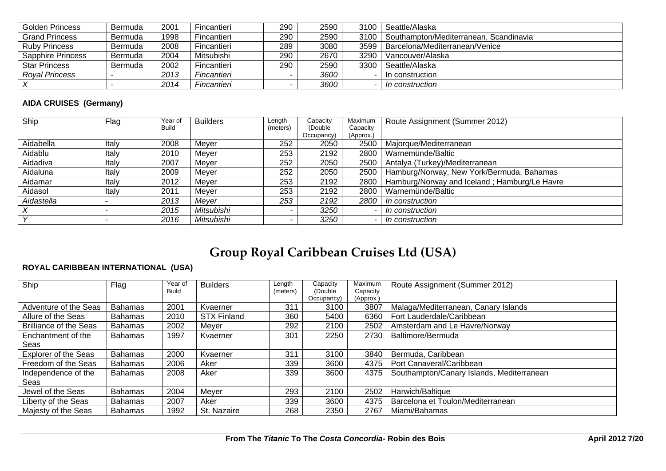| <b>Golden Princess</b> | Bermuda | 2001 | Fincantieri | 290 | 2590 | 3100   Seattle/Alaska                         |
|------------------------|---------|------|-------------|-----|------|-----------------------------------------------|
| <b>Grand Princess</b>  | Bermuda | 1998 | Fincantieri | 290 | 2590 | 3100   Southampton/Mediterranean, Scandinavia |
| <b>Ruby Princess</b>   | Bermuda | 2008 | Fincantieri | 289 | 3080 | 3599   Barcelona/Mediterranean/Venice         |
| Sapphire Princess      | Bermuda | 2004 | Mitsubishi  | 290 | 2670 | 3290   Vancouver/Alaska                       |
| <b>Star Princess</b>   | Bermuda | 2002 | Fincantieri | 290 | 2590 | 3300   Seattle/Alaska                         |
| <b>Royal Princess</b>  |         | 2013 | Fincantieri |     | 3600 | In construction                               |
|                        |         | 2014 | Fincantieri |     | 3600 | In construction                               |

#### **AIDA CRUISES (Germany)**

| Ship       | Flag  | Year of      | <b>Builders</b> | Length   | Capacity   | Maximum   | Route Assignment (Summer 2012)               |
|------------|-------|--------------|-----------------|----------|------------|-----------|----------------------------------------------|
|            |       | <b>Build</b> |                 | (meters) | (Double)   | Capacity  |                                              |
|            |       |              |                 |          | Occupancy) | (Approx.) |                                              |
| Aidabella  | Italy | 2008         | Meyer           | 252      | 2050       | 2500      | Majorque/Mediterranean                       |
| Aidablu    | Italy | 2010         | Meyer           | 253      | 2192       | 2800      | Warnemünde/Baltic                            |
| Aidadiva   | Italy | 2007         | Mever           | 252      | 2050       | 2500      | Antalya (Turkey)/Mediterranean               |
| Aidaluna   | Italv | 2009         | Meyer           | 252      | 2050       | 2500      | Hamburg/Norway, New York/Bermuda, Bahamas    |
| Aidamar    | Italy | 2012         | Mever           | 253      | 2192       | 2800      | Hamburg/Norway and Iceland; Hamburg/Le Havre |
| Aidasol    | Italy | 2011         | Mever           | 253      | 2192       | 2800      | Warnemünde/Baltic                            |
| Aidastella |       | 2013         | Mever           | 253      | 2192       | 2800      | In construction                              |
|            |       | 2015         | Mitsubishi      |          | 3250       |           | In construction                              |
|            |       | 2016         | Mitsubishi      |          | 3250       |           | In construction                              |

# **Group Royal Caribbean Cruises Ltd (USA)**

#### **ROYAL CARIBBEAN INTERNATIONAL (USA)**

| Ship                          | Flag           | Year of      | <b>Builders</b>    | Length   | Capacity               | Maximum               | Route Assignment (Summer 2012)            |
|-------------------------------|----------------|--------------|--------------------|----------|------------------------|-----------------------|-------------------------------------------|
|                               |                | <b>Build</b> |                    | (meters) | (Double)<br>Occupancy) | Capacity<br>(Approx.) |                                           |
| Adventure of the Seas         | <b>Bahamas</b> | 2001         | Kvaerner           | 311      | 3100                   | 3807                  | Malaga/Mediterranean, Canary Islands      |
| Allure of the Seas            | <b>Bahamas</b> | 2010         | <b>STX Finland</b> | 360      | 5400                   | 6360                  | Fort Lauderdale/Caribbean                 |
| <b>Brilliance of the Seas</b> | <b>Bahamas</b> | 2002         | Meyer              | 292      | 2100                   | 2502                  | Amsterdam and Le Havre/Norway             |
| Enchantment of the            | <b>Bahamas</b> | 1997         | Kvaerner           | 301      | 2250                   | 2730                  | Baltimore/Bermuda                         |
| Seas                          |                |              |                    |          |                        |                       |                                           |
| <b>Explorer of the Seas</b>   | <b>Bahamas</b> | 2000         | Kvaerner           | 311      | 3100                   | 3840                  | Bermuda, Caribbean                        |
| Freedom of the Seas           | <b>Bahamas</b> | 2006         | Aker               | 339      | 3600                   | 4375                  | Port Canaveral/Caribbean                  |
| Independence of the           | <b>Bahamas</b> | 2008         | Aker               | 339      | 3600                   | 4375                  | Southampton/Canary Islands, Mediterranean |
| Seas                          |                |              |                    |          |                        |                       |                                           |
| Jewel of the Seas             | Bahamas        | 2004         | Meyer              | 293      | 2100                   | 2502                  | Harwich/Baltique                          |
| Liberty of the Seas           | <b>Bahamas</b> | 2007         | Aker               | 339      | 3600                   | 4375                  | Barcelona et Toulon/Mediterranean         |
| Majesty of the Seas           | <b>Bahamas</b> | 1992         | St. Nazaire        | 268      | 2350                   | 2767                  | Miami/Bahamas                             |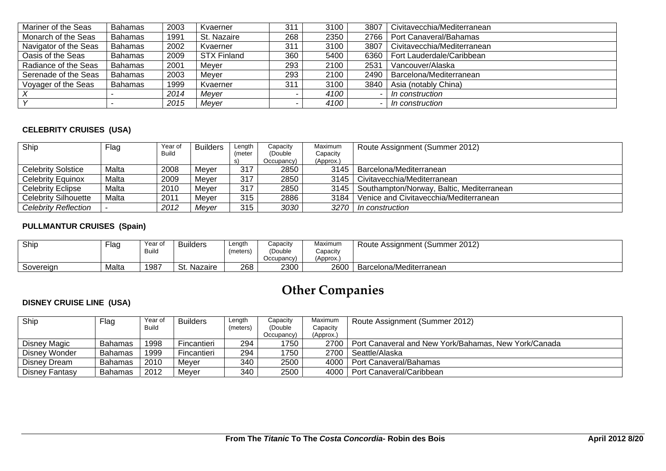| Mariner of the Seas   | <b>Bahamas</b> | 2003 | Kvaerner           | 311 | 3100 | 3807 | Civitavecchia/Mediterranean |
|-----------------------|----------------|------|--------------------|-----|------|------|-----------------------------|
| Monarch of the Seas   | <b>Bahamas</b> | 1991 | St. Nazaire        | 268 | 2350 | 2766 | Port Canaveral/Bahamas      |
| Navigator of the Seas | <b>Bahamas</b> | 2002 | Kvaerner           | 311 | 3100 | 3807 | Civitavecchia/Mediterranean |
| Oasis of the Seas     | <b>Bahamas</b> | 2009 | <b>STX Finland</b> | 360 | 5400 | 6360 | Fort Lauderdale/Caribbean   |
| Radiance of the Seas  | <b>Bahamas</b> | 2001 | Mever              | 293 | 2100 | 2531 | Vancouver/Alaska            |
| Serenade of the Seas  | <b>Bahamas</b> | 2003 | Mever              | 293 | 2100 | 2490 | Barcelona/Mediterranean     |
| Voyager of the Seas   | <b>Bahamas</b> | 1999 | Kvaerner           | 311 | 3100 | 3840 | Asia (notably China)        |
|                       |                | 2014 | Meyer              |     | 4100 |      | In construction             |
|                       |                | 2015 | Meyer              |     | 4100 | -    | In construction             |

#### **CELEBRITY CRUISES (USA)**

| Ship                      | Flag  | Year of | <b>Builders</b> | Length | Capacity   | Maximum   | Route Assignment (Summer 2012)            |
|---------------------------|-------|---------|-----------------|--------|------------|-----------|-------------------------------------------|
|                           |       | Build   |                 | (meter | (Double)   | Capacity  |                                           |
|                           |       |         |                 |        | Occupancy) | (Approx.) |                                           |
| <b>Celebrity Solstice</b> | Malta | 2008    | Mever           | 317    | 2850       | 3145      | Barcelona/Mediterranean                   |
| <b>Celebrity Equinox</b>  | Malta | 2009    | Mever           | 317    | 2850       | 3145      | Civitavecchia/Mediterranean               |
| <b>Celebrity Eclipse</b>  | Malta | 2010    | Mever           | 317    | 2850       | 3145      | Southampton/Norway, Baltic, Mediterranean |
| Celebrity Silhouette      | Malta | 2011    | Mever           | 315    | 2886       | 3184      | Venice and Civitavecchia/Mediterranean    |
| Celebrity Reflection      |       | 2012    | Mever           | 315    | 3030       | 3270      | In construction                           |

#### **PULLMANTUR CRUISES (Spain)**

| Ship      | Flag  | Year of<br><b>Build</b> | <b>Builders</b> | Length<br>(meters, | Capacity<br>(Double<br>Occupancy) | Maximum<br>Capacity<br>'Approx. | Route Assignment (Summer 2012) |
|-----------|-------|-------------------------|-----------------|--------------------|-----------------------------------|---------------------------------|--------------------------------|
| Sovereign | Malta | 1987                    | Nazaire<br>-St. | 268                | 2300                              | 2600                            | Barcelona/Mediterranean        |

# **Other Companies**

#### **DISNEY CRUISE LINE (USA)**

| Ship           | Flag           | Year of<br>Build | <b>Builders</b> | Lenath<br>(meters) | Capacity<br>(Double) | Maximum<br>Capacity | Route Assignment (Summer 2012)                       |
|----------------|----------------|------------------|-----------------|--------------------|----------------------|---------------------|------------------------------------------------------|
|                |                |                  |                 |                    | Occupancy)           | (Approx.)           |                                                      |
| Disney Magic   | Bahamas        | 1998             | Fincantieri     | 294                | 1750                 | 2700                | Port Canaveral and New York/Bahamas, New York/Canada |
| Disney Wonder  | Bahamas        | 1999             | Fincantieri     | 294                | 1750                 | 2700                | Seattle/Alaska                                       |
| Disney Dream   | <b>Bahamas</b> | 2010             | Mever           | 340                | 2500                 | 4000                | Port Canaveral/Bahamas                               |
| Disney Fantasy | Bahamas        | 2012             | Mever           | 340                | 2500                 | 4000                | Port Canaveral/Caribbean                             |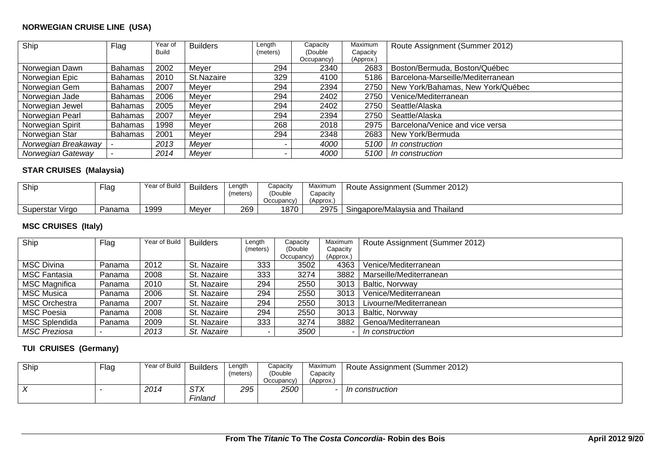#### **NORWEGIAN CRUISE LINE (USA)**

| Ship                | Flag           | Year of<br>Build | <b>Builders</b> | Length<br>(meters) | Capacity<br>(Double | Maximum<br>Capacity | Route Assignment (Summer 2012)    |
|---------------------|----------------|------------------|-----------------|--------------------|---------------------|---------------------|-----------------------------------|
|                     |                |                  |                 |                    | Occupancy)          | (Approx.)           |                                   |
| Norwegian Dawn      | <b>Bahamas</b> | 2002             | Meyer           | 294                | 2340                | 2683                | Boston/Bermuda, Boston/Québec     |
| Norwegian Epic      | <b>Bahamas</b> | 2010             | St.Nazaire      | 329                | 4100                | 5186                | Barcelona-Marseille/Mediterranean |
| Norwegian Gem       | <b>Bahamas</b> | 2007             | Meyer           | 294                | 2394                | 2750                | New York/Bahamas, New York/Québec |
| Norwegian Jade      | <b>Bahamas</b> | 2006             | Meyer           | 294                | 2402                | 2750                | Venice/Mediterranean              |
| Norwegian Jewel     | <b>Bahamas</b> | 2005             | Meyer           | 294                | 2402                | 2750                | Seattle/Alaska                    |
| Norwegian Pearl     | <b>Bahamas</b> | 2007             | Meyer           | 294                | 2394                | 2750                | Seattle/Alaska                    |
| Norwegian Spirit    | <b>Bahamas</b> | 1998             | Meyer           | 268                | 2018                | 2975                | Barcelona/Venice and vice versa   |
| Norwegian Star      | Bahamas        | 2001             | Meyer           | 294                | 2348                | 2683                | New York/Bermuda                  |
| Norwegian Breakaway |                | 2013             | Meyer           |                    | 4000                | 5100                | In construction                   |
| Norwegian Gateway   |                | 2014             | Mever           |                    | 4000                | 5100                | In construction                   |

#### **STAR CRUISES (Malaysia)**

| Ship                        | <sup>=</sup> lag | Year of Build | <b>Builders</b> | Length<br>meters, | Capacity<br>(Double<br>Occupancy) | Maximum<br>Capacity<br>(Approx.) | Route Assignment (Summer 2012)       |
|-----------------------------|------------------|---------------|-----------------|-------------------|-----------------------------------|----------------------------------|--------------------------------------|
| $\cdots$<br>Superstar Virgo | Panama           | 1999          | Meyer           | 269               | 1870                              | 2975                             | Singapore/Malaysia and<br>' Thailand |

#### **MSC CRUISES (Italy)**

| Ship                 | Flag   | Year of Build | <b>Builders</b> | Length   | Capacity   | Maximum   | Route Assignment (Summer 2012) |
|----------------------|--------|---------------|-----------------|----------|------------|-----------|--------------------------------|
|                      |        |               |                 | (meters) | (Double)   | Capacity  |                                |
|                      |        |               |                 |          | Occupancy) | (Approx.) |                                |
| <b>MSC Divina</b>    | Panama | 2012          | St. Nazaire     | 333      | 3502       | 4363      | Venice/Mediterranean           |
| <b>MSC Fantasia</b>  | Panama | 2008          | St. Nazaire     | 333      | 3274       | 3882      | Marseille/Mediterranean        |
| <b>MSC Magnifica</b> | Panama | 2010          | St. Nazaire     | 294      | 2550       | 3013      | Baltic, Norvway                |
| <b>MSC Musica</b>    | Panama | 2006          | St. Nazaire     | 294      | 2550       | 3013      | Venice/Mediterranean           |
| <b>MSC Orchestra</b> | Panama | 2007          | St. Nazaire     | 294      | 2550       | 3013      | Livourne/Mediterranean         |
| <b>MSC Poesia</b>    | Panama | 2008          | St. Nazaire     | 294      | 2550       | 3013      | Baltic, Norvway                |
| <b>MSC Splendida</b> | Panama | 2009          | St. Nazaire     | 333      | 3274       | 3882      | Genoa/Mediterranean            |
| <b>MSC Preziosa</b>  |        | 2013          | St. Nazaire     |          | 3500       |           | In construction                |

#### **TUI CRUISES (Germany)**

| Ship       | Flag | Year of Build | <b>Builders</b>              | Lenath<br>(meters) | Capacity<br>(Double<br>Occupancy) | Maximum<br>Capacity<br>(Approx. | Route Assignment (Summer 2012) |
|------------|------|---------------|------------------------------|--------------------|-----------------------------------|---------------------------------|--------------------------------|
| $\sqrt{ }$ |      | 2014          | <b>STX</b><br><i>Finland</i> | 295                | 2500                              |                                 | In construction                |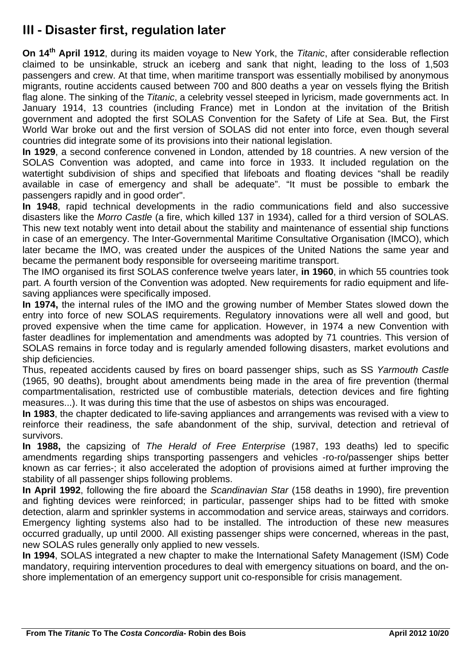# **III - Disaster first, regulation later**

**On 14th April 1912**, during its maiden voyage to New York, the *Titanic*, after considerable reflection claimed to be unsinkable, struck an iceberg and sank that night, leading to the loss of 1,503 passengers and crew. At that time, when maritime transport was essentially mobilised by anonymous migrants, routine accidents caused between 700 and 800 deaths a year on vessels flying the British flag alone. The sinking of the *Titanic*, a celebrity vessel steeped in lyricism, made governments act. In January 1914, 13 countries (including France) met in London at the invitation of the British government and adopted the first SOLAS Convention for the Safety of Life at Sea. But, the First World War broke out and the first version of SOLAS did not enter into force, even though several countries did integrate some of its provisions into their national legislation.

**In 1929**, a second conference convened in London, attended by 18 countries. A new version of the SOLAS Convention was adopted, and came into force in 1933. It included regulation on the watertight subdivision of ships and specified that lifeboats and floating devices "shall be readily available in case of emergency and shall be adequate". "It must be possible to embark the passengers rapidly and in good order".

**In 1948**, rapid technical developments in the radio communications field and also successive disasters like the *Morro Castle* (a fire, which killed 137 in 1934), called for a third version of SOLAS. This new text notably went into detail about the stability and maintenance of essential ship functions in case of an emergency. The Inter-Governmental Maritime Consultative Organisation (IMCO), which later became the IMO, was created under the auspices of the United Nations the same year and became the permanent body responsible for overseeing maritime transport.

The IMO organised its first SOLAS conference twelve years later, **in 1960**, in which 55 countries took part. A fourth version of the Convention was adopted. New requirements for radio equipment and lifesaving appliances were specifically imposed.

**In 1974,** the internal rules of the IMO and the growing number of Member States slowed down the entry into force of new SOLAS requirements. Regulatory innovations were all well and good, but proved expensive when the time came for application. However, in 1974 a new Convention with faster deadlines for implementation and amendments was adopted by 71 countries. This version of SOLAS remains in force today and is regularly amended following disasters, market evolutions and ship deficiencies.

Thus, repeated accidents caused by fires on board passenger ships, such as SS *Yarmouth Castle* (1965, 90 deaths), brought about amendments being made in the area of fire prevention (thermal compartmentalisation, restricted use of combustible materials, detection devices and fire fighting measures...). It was during this time that the use of asbestos on ships was encouraged.

**In 1983**, the chapter dedicated to life-saving appliances and arrangements was revised with a view to reinforce their readiness, the safe abandonment of the ship, survival, detection and retrieval of survivors.

**In 1988,** the capsizing of *The Herald of Free Enterprise* (1987, 193 deaths) led to specific amendments regarding ships transporting passengers and vehicles -ro-ro/passenger ships better known as car ferries-; it also accelerated the adoption of provisions aimed at further improving the stability of all passenger ships following problems.

**In April 1992**, following the fire aboard the *Scandinavian Star* (158 deaths in 1990), fire prevention and fighting devices were reinforced; in particular, passenger ships had to be fitted with smoke detection, alarm and sprinkler systems in accommodation and service areas, stairways and corridors. Emergency lighting systems also had to be installed. The introduction of these new measures occurred gradually, up until 2000. All existing passenger ships were concerned, whereas in the past, new SOLAS rules generally only applied to new vessels.

**In 1994**, SOLAS integrated a new chapter to make the International Safety Management (ISM) Code mandatory, requiring intervention procedures to deal with emergency situations on board, and the onshore implementation of an emergency support unit co-responsible for crisis management.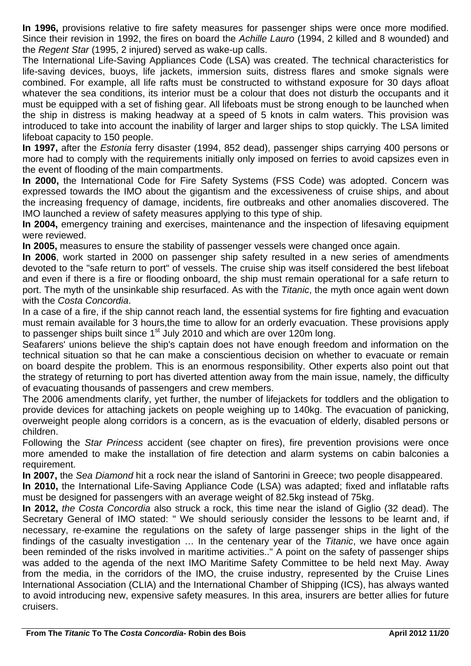**In 1996,** provisions relative to fire safety measures for passenger ships were once more modified. Since their revision in 1992, the fires on board the *Achille Lauro* (1994, 2 killed and 8 wounded) and the *Regent Star* (1995, 2 injured) served as wake-up calls.

The International Life-Saving Appliances Code (LSA) was created. The technical characteristics for life-saving devices, buoys, life jackets, immersion suits, distress flares and smoke signals were combined. For example, all life rafts must be constructed to withstand exposure for 30 days afloat whatever the sea conditions, its interior must be a colour that does not disturb the occupants and it must be equipped with a set of fishing gear. All lifeboats must be strong enough to be launched when the ship in distress is making headway at a speed of 5 knots in calm waters. This provision was introduced to take into account the inability of larger and larger ships to stop quickly. The LSA limited lifeboat capacity to 150 people.

**In 1997,** after the *Estonia* ferry disaster (1994, 852 dead), passenger ships carrying 400 persons or more had to comply with the requirements initially only imposed on ferries to avoid capsizes even in the event of flooding of the main compartments.

**In 2000,** the International Code for Fire Safety Systems (FSS Code) was adopted. Concern was expressed towards the IMO about the gigantism and the excessiveness of cruise ships, and about the increasing frequency of damage, incidents, fire outbreaks and other anomalies discovered. The IMO launched a review of safety measures applying to this type of ship.

**In 2004,** emergency training and exercises, maintenance and the inspection of lifesaving equipment were reviewed.

**In 2005,** measures to ensure the stability of passenger vessels were changed once again.

**In 2006**, work started in 2000 on passenger ship safety resulted in a new series of amendments devoted to the "safe return to port" of vessels. The cruise ship was itself considered the best lifeboat and even if there is a fire or flooding onboard, the ship must remain operational for a safe return to port. The myth of the unsinkable ship resurfaced. As with the *Titanic*, the myth once again went down with the *Costa Concordia*.

In a case of a fire, if the ship cannot reach land, the essential systems for fire fighting and evacuation must remain available for 3 hours,the time to allow for an orderly evacuation. These provisions apply to passenger ships built since 1<sup>st</sup> July 2010 and which are over 120m long.

Seafarers' unions believe the ship's captain does not have enough freedom and information on the technical situation so that he can make a conscientious decision on whether to evacuate or remain on board despite the problem. This is an enormous responsibility. Other experts also point out that the strategy of returning to port has diverted attention away from the main issue, namely, the difficulty of evacuating thousands of passengers and crew members.

The 2006 amendments clarify, yet further, the number of lifejackets for toddlers and the obligation to provide devices for attaching jackets on people weighing up to 140kg. The evacuation of panicking, overweight people along corridors is a concern, as is the evacuation of elderly, disabled persons or children.

Following the *Star Princess* accident (see chapter on fires), fire prevention provisions were once more amended to make the installation of fire detection and alarm systems on cabin balconies a requirement.

**In 2007,** the *Sea Diamond* hit a rock near the island of Santorini in Greece; two people disappeared.

**In 2010,** the International Life-Saving Appliance Code (LSA) was adapted; fixed and inflatable rafts must be designed for passengers with an average weight of 82.5kg instead of 75kg.

**In 2012,** *the Costa Concordia* also struck a rock, this time near the island of Giglio (32 dead). The Secretary General of IMO stated: " We should seriously consider the lessons to be learnt and, if necessary, re-examine the regulations on the safety of large passenger ships in the light of the findings of the casualty investigation … In the centenary year of the *Titanic*, we have once again been reminded of the risks involved in maritime activities.." A point on the safety of passenger ships was added to the agenda of the next IMO Maritime Safety Committee to be held next May. Away from the media, in the corridors of the IMO, the cruise industry, represented by the Cruise Lines International Association (CLIA) and the International Chamber of Shipping (ICS), has always wanted to avoid introducing new, expensive safety measures. In this area, insurers are better allies for future cruisers.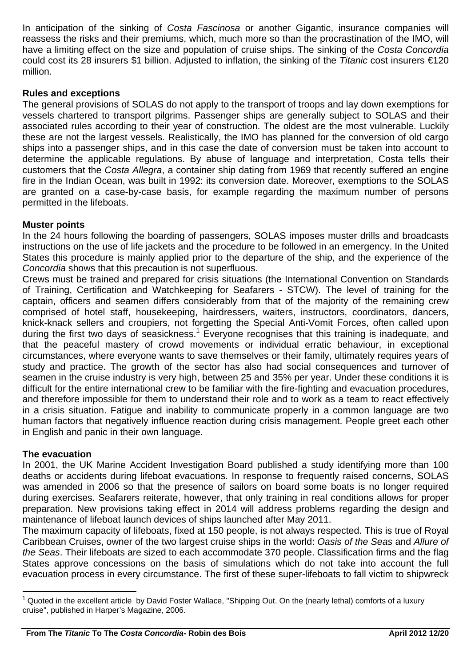In anticipation of the sinking of *Costa Fascinosa* or another Gigantic, insurance companies will reassess the risks and their premiums, which, much more so than the procrastination of the IMO, will have a limiting effect on the size and population of cruise ships. The sinking of the *Costa Concordia* could cost its 28 insurers \$1 billion. Adjusted to inflation, the sinking of the *Titanic* cost insurers €120 million.

#### **Rules and exceptions**

The general provisions of SOLAS do not apply to the transport of troops and lay down exemptions for vessels chartered to transport pilgrims. Passenger ships are generally subject to SOLAS and their associated rules according to their year of construction. The oldest are the most vulnerable. Luckily these are not the largest vessels. Realistically, the IMO has planned for the conversion of old cargo ships into a passenger ships, and in this case the date of conversion must be taken into account to determine the applicable regulations. By abuse of language and interpretation, Costa tells their customers that the *Costa Allegra*, a container ship dating from 1969 that recently suffered an engine fire in the Indian Ocean, was built in 1992: its conversion date. Moreover, exemptions to the SOLAS are granted on a case-by-case basis, for example regarding the maximum number of persons permitted in the lifeboats.

#### **Muster points**

In the 24 hours following the boarding of passengers, SOLAS imposes muster drills and broadcasts instructions on the use of life jackets and the procedure to be followed in an emergency. In the United States this procedure is mainly applied prior to the departure of the ship, and the experience of the *Concordia* shows that this precaution is not superfluous.

Crews must be trained and prepared for crisis situations (the International Convention on Standards of Training, Certification and Watchkeeping for Seafarers - STCW). The level of training for the captain, officers and seamen differs considerably from that of the majority of the remaining crew comprised of hotel staff, housekeeping, hairdressers, waiters, instructors, coordinators, dancers, knick-knack sellers and croupiers, not forgetting the Special Anti-Vomit Forces, often called upon during the first two days of seasickness.<sup>1</sup> Everyone recognises that this training is inadequate, and that the peaceful mastery of crowd movements or individual erratic behaviour, in exceptional circumstances, where everyone wants to save themselves or their family, ultimately requires years of study and practice. The growth of the sector has also had social consequences and turnover of seamen in the cruise industry is very high, between 25 and 35% per year. Under these conditions it is difficult for the entire international crew to be familiar with the fire-fighting and evacuation procedures, and therefore impossible for them to understand their role and to work as a team to react effectively in a crisis situation. Fatigue and inability to communicate properly in a common language are two human factors that negatively influence reaction during crisis management. People greet each other in English and panic in their own language.

#### **The evacuation**

In 2001, the UK Marine Accident Investigation Board published a study identifying more than 100 deaths or accidents during lifeboat evacuations. In response to frequently raised concerns, SOLAS was amended in 2006 so that the presence of sailors on board some boats is no longer required during exercises. Seafarers reiterate, however, that only training in real conditions allows for proper preparation. New provisions taking effect in 2014 will address problems regarding the design and maintenance of lifeboat launch devices of ships launched after May 2011.

The maximum capacity of lifeboats, fixed at 150 people, is not always respected. This is true of Royal Caribbean Cruises, owner of the two largest cruise ships in the world: *Oasis of the Seas* and *Allure of the Seas*. Their lifeboats are sized to each accommodate 370 people. Classification firms and the flag States approve concessions on the basis of simulations which do not take into account the full evacuation process in every circumstance. The first of these super-lifeboats to fall victim to shipwreck

 1 Quoted in the excellent article by David Foster Wallace, "Shipping Out. On the (nearly lethal) comforts of a luxury cruise", published in Harper's Magazine, 2006.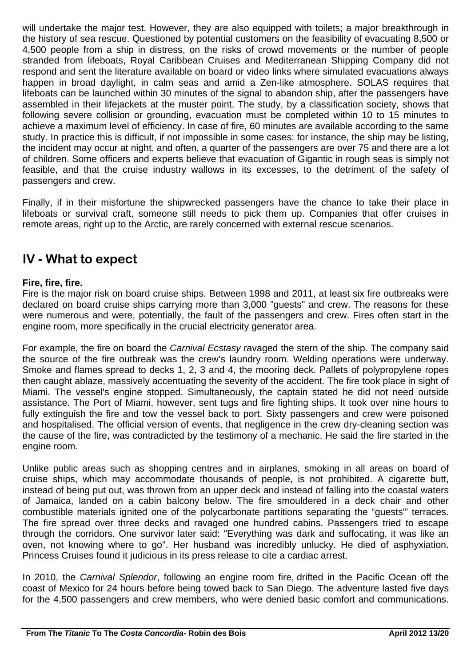will undertake the major test. However, they are also equipped with toilets; a major breakthrough in the history of sea rescue. Questioned by potential customers on the feasibility of evacuating 8,500 or 4,500 people from a ship in distress, on the risks of crowd movements or the number of people stranded from lifeboats, Royal Caribbean Cruises and Mediterranean Shipping Company did not respond and sent the literature available on board or video links where simulated evacuations always happen in broad daylight, in calm seas and amid a Zen-like atmosphere. SOLAS requires that lifeboats can be launched within 30 minutes of the signal to abandon ship, after the passengers have assembled in their lifejackets at the muster point. The study, by a classification society, shows that following severe collision or grounding, evacuation must be completed within 10 to 15 minutes to achieve a maximum level of efficiency. In case of fire, 60 minutes are available according to the same study. In practice this is difficult, if not impossible in some cases: for instance, the ship may be listing, the incident may occur at night, and often, a quarter of the passengers are over 75 and there are a lot of children. Some officers and experts believe that evacuation of Gigantic in rough seas is simply not feasible, and that the cruise industry wallows in its excesses, to the detriment of the safety of passengers and crew.

Finally, if in their misfortune the shipwrecked passengers have the chance to take their place in lifeboats or survival craft, someone still needs to pick them up. Companies that offer cruises in remote areas, right up to the Arctic, are rarely concerned with external rescue scenarios.

## **IV - What to expect**

#### **Fire, fire, fire.**

Fire is the major risk on board cruise ships. Between 1998 and 2011, at least six fire outbreaks were declared on board cruise ships carrying more than 3,000 "guests" and crew. The reasons for these were numerous and were, potentially, the fault of the passengers and crew. Fires often start in the engine room, more specifically in the crucial electricity generator area.

For example, the fire on board the *Carnival Ecstasy* ravaged the stern of the ship. The company said the source of the fire outbreak was the crew's laundry room. Welding operations were underway. Smoke and flames spread to decks 1, 2, 3 and 4, the mooring deck. Pallets of polypropylene ropes then caught ablaze, massively accentuating the severity of the accident. The fire took place in sight of Miami. The vessel's engine stopped. Simultaneously, the captain stated he did not need outside assistance. The Port of Miami, however, sent tugs and fire fighting ships. It took over nine hours to fully extinguish the fire and tow the vessel back to port. Sixty passengers and crew were poisoned and hospitalised. The official version of events, that negligence in the crew dry-cleaning section was the cause of the fire, was contradicted by the testimony of a mechanic. He said the fire started in the engine room.

Unlike public areas such as shopping centres and in airplanes, smoking in all areas on board of cruise ships, which may accommodate thousands of people, is not prohibited. A cigarette butt, instead of being put out, was thrown from an upper deck and instead of falling into the coastal waters of Jamaica, landed on a cabin balcony below. The fire smouldered in a deck chair and other combustible materials ignited one of the polycarbonate partitions separating the "guests'" terraces. The fire spread over three decks and ravaged one hundred cabins. Passengers tried to escape through the corridors. One survivor later said: "Everything was dark and suffocating, it was like an oven, not knowing where to go". Her husband was incredibly unlucky. He died of asphyxiation. Princess Cruises found it judicious in its press release to cite a cardiac arrest.

In 2010, the *Carnival Splendor*, following an engine room fire, drifted in the Pacific Ocean off the coast of Mexico for 24 hours before being towed back to San Diego. The adventure lasted five days for the 4,500 passengers and crew members, who were denied basic comfort and communications.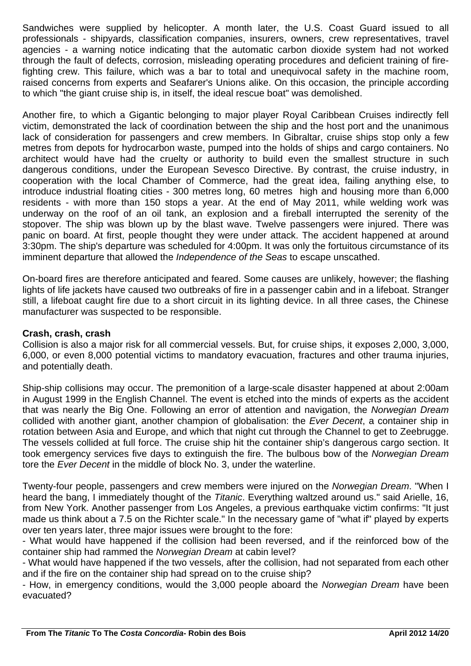Sandwiches were supplied by helicopter. A month later, the U.S. Coast Guard issued to all professionals - shipyards, classification companies, insurers, owners, crew representatives, travel agencies - a warning notice indicating that the automatic carbon dioxide system had not worked through the fault of defects, corrosion, misleading operating procedures and deficient training of firefighting crew. This failure, which was a bar to total and unequivocal safety in the machine room, raised concerns from experts and Seafarer's Unions alike. On this occasion, the principle according to which "the giant cruise ship is, in itself, the ideal rescue boat" was demolished.

Another fire, to which a Gigantic belonging to major player Royal Caribbean Cruises indirectly fell victim, demonstrated the lack of coordination between the ship and the host port and the unanimous lack of consideration for passengers and crew members. In Gibraltar, cruise ships stop only a few metres from depots for hydrocarbon waste, pumped into the holds of ships and cargo containers. No architect would have had the cruelty or authority to build even the smallest structure in such dangerous conditions, under the European Sevesco Directive. By contrast, the cruise industry, in cooperation with the local Chamber of Commerce, had the great idea, failing anything else, to introduce industrial floating cities - 300 metres long, 60 metres high and housing more than 6,000 residents - with more than 150 stops a year. At the end of May 2011, while welding work was underway on the roof of an oil tank, an explosion and a fireball interrupted the serenity of the stopover. The ship was blown up by the blast wave. Twelve passengers were injured. There was panic on board. At first, people thought they were under attack. The accident happened at around 3:30pm. The ship's departure was scheduled for 4:00pm. It was only the fortuitous circumstance of its imminent departure that allowed the *Independence of the Seas* to escape unscathed.

On-board fires are therefore anticipated and feared. Some causes are unlikely, however; the flashing lights of life jackets have caused two outbreaks of fire in a passenger cabin and in a lifeboat. Stranger still, a lifeboat caught fire due to a short circuit in its lighting device. In all three cases, the Chinese manufacturer was suspected to be responsible.

#### **Crash, crash, crash**

Collision is also a major risk for all commercial vessels. But, for cruise ships, it exposes 2,000, 3,000, 6,000, or even 8,000 potential victims to mandatory evacuation, fractures and other trauma injuries, and potentially death.

Ship-ship collisions may occur. The premonition of a large-scale disaster happened at about 2:00am in August 1999 in the English Channel. The event is etched into the minds of experts as the accident that was nearly the Big One. Following an error of attention and navigation, the *Norwegian Dream* collided with another giant, another champion of globalisation: the *Ever Decent*, a container ship in rotation between Asia and Europe, and which that night cut through the Channel to get to Zeebrugge. The vessels collided at full force. The cruise ship hit the container ship's dangerous cargo section. It took emergency services five days to extinguish the fire. The bulbous bow of the *Norwegian Dream* tore the *Ever Decent* in the middle of block No. 3, under the waterline.

Twenty-four people, passengers and crew members were injured on the *Norwegian Dream*. "When I heard the bang, I immediately thought of the *Titanic*. Everything waltzed around us." said Arielle, 16, from New York. Another passenger from Los Angeles, a previous earthquake victim confirms: "It just made us think about a 7.5 on the Richter scale." In the necessary game of "what if" played by experts over ten years later, three major issues were brought to the fore:

- What would have happened if the collision had been reversed, and if the reinforced bow of the container ship had rammed the *Norwegian Dream* at cabin level?

- What would have happened if the two vessels, after the collision, had not separated from each other and if the fire on the container ship had spread on to the cruise ship?

- How, in emergency conditions, would the 3,000 people aboard the *Norwegian Dream* have been evacuated?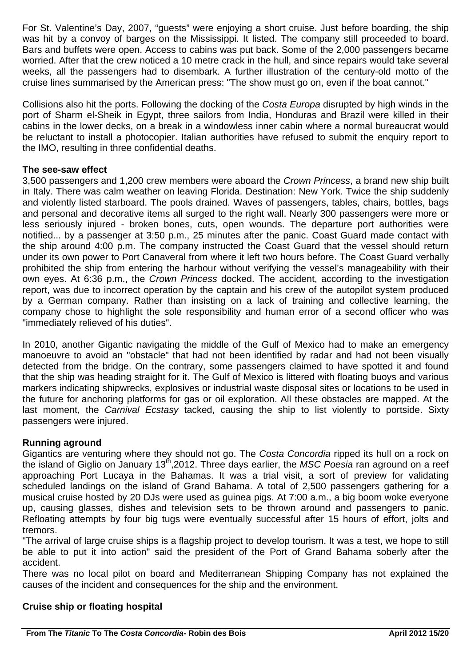For St. Valentine's Day, 2007, "guests" were enjoying a short cruise. Just before boarding, the ship was hit by a convoy of barges on the Mississippi. It listed. The company still proceeded to board. Bars and buffets were open. Access to cabins was put back. Some of the 2,000 passengers became worried. After that the crew noticed a 10 metre crack in the hull, and since repairs would take several weeks, all the passengers had to disembark. A further illustration of the century-old motto of the cruise lines summarised by the American press: "The show must go on, even if the boat cannot."

Collisions also hit the ports. Following the docking of the *Costa Europa* disrupted by high winds in the port of Sharm el-Sheik in Egypt, three sailors from India, Honduras and Brazil were killed in their cabins in the lower decks, on a break in a windowless inner cabin where a normal bureaucrat would be reluctant to install a photocopier. Italian authorities have refused to submit the enquiry report to the IMO, resulting in three confidential deaths.

#### **The see-saw effect**

3,500 passengers and 1,200 crew members were aboard the *Crown Princess*, a brand new ship built in Italy. There was calm weather on leaving Florida. Destination: New York. Twice the ship suddenly and violently listed starboard. The pools drained. Waves of passengers, tables, chairs, bottles, bags and personal and decorative items all surged to the right wall. Nearly 300 passengers were more or less seriously injured - broken bones, cuts, open wounds. The departure port authorities were notified... by a passenger at 3:50 p.m., 25 minutes after the panic. Coast Guard made contact with the ship around 4:00 p.m. The company instructed the Coast Guard that the vessel should return under its own power to Port Canaveral from where it left two hours before. The Coast Guard verbally prohibited the ship from entering the harbour without verifying the vessel's manageability with their own eyes. At 6:36 p.m., the *Crown Princess* docked. The accident, according to the investigation report, was due to incorrect operation by the captain and his crew of the autopilot system produced by a German company. Rather than insisting on a lack of training and collective learning, the company chose to highlight the sole responsibility and human error of a second officer who was "immediately relieved of his duties".

In 2010, another Gigantic navigating the middle of the Gulf of Mexico had to make an emergency manoeuvre to avoid an "obstacle" that had not been identified by radar and had not been visually detected from the bridge. On the contrary, some passengers claimed to have spotted it and found that the ship was heading straight for it. The Gulf of Mexico is littered with floating buoys and various markers indicating shipwrecks, explosives or industrial waste disposal sites or locations to be used in the future for anchoring platforms for gas or oil exploration. All these obstacles are mapped. At the last moment, the *Carnival Ecstasy* tacked, causing the ship to list violently to portside. Sixty passengers were injured.

#### **Running aground**

Gigantics are venturing where they should not go. The *Costa Concordia* ripped its hull on a rock on the island of Giglio on January 13th,2012. Three days earlier, the *MSC Poesia* ran aground on a reef approaching Port Lucaya in the Bahamas. It was a trial visit, a sort of preview for validating scheduled landings on the island of Grand Bahama. A total of 2,500 passengers gathering for a musical cruise hosted by 20 DJs were used as guinea pigs. At 7:00 a.m., a big boom woke everyone up, causing glasses, dishes and television sets to be thrown around and passengers to panic. Refloating attempts by four big tugs were eventually successful after 15 hours of effort, jolts and tremors.

"The arrival of large cruise ships is a flagship project to develop tourism. It was a test, we hope to still be able to put it into action" said the president of the Port of Grand Bahama soberly after the accident.

There was no local pilot on board and Mediterranean Shipping Company has not explained the causes of the incident and consequences for the ship and the environment.

#### **Cruise ship or floating hospital**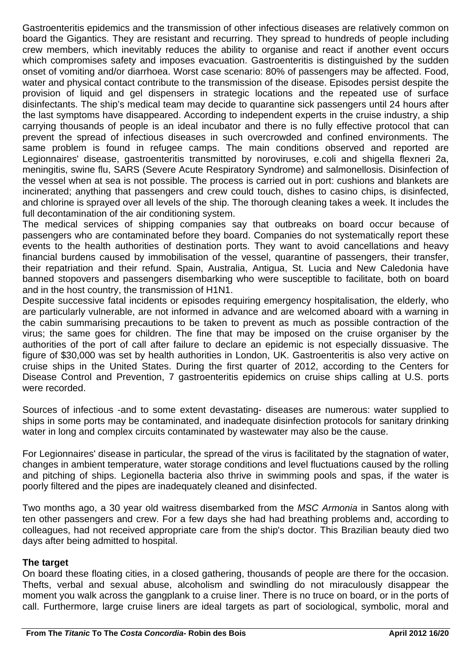Gastroenteritis epidemics and the transmission of other infectious diseases are relatively common on board the Gigantics. They are resistant and recurring. They spread to hundreds of people including crew members, which inevitably reduces the ability to organise and react if another event occurs which compromises safety and imposes evacuation. Gastroenteritis is distinguished by the sudden onset of vomiting and/or diarrhoea. Worst case scenario: 80% of passengers may be affected. Food, water and physical contact contribute to the transmission of the disease. Episodes persist despite the provision of liquid and gel dispensers in strategic locations and the repeated use of surface disinfectants. The ship's medical team may decide to quarantine sick passengers until 24 hours after the last symptoms have disappeared. According to independent experts in the cruise industry, a ship carrying thousands of people is an ideal incubator and there is no fully effective protocol that can prevent the spread of infectious diseases in such overcrowded and confined environments. The same problem is found in refugee camps. The main conditions observed and reported are Legionnaires' disease, gastroenteritis transmitted by noroviruses, e.coli and shigella flexneri 2a, meningitis, swine flu, SARS (Severe Acute Respiratory Syndrome) and salmonellosis. Disinfection of the vessel when at sea is not possible. The process is carried out in port: cushions and blankets are incinerated; anything that passengers and crew could touch, dishes to casino chips, is disinfected, and chlorine is sprayed over all levels of the ship. The thorough cleaning takes a week. It includes the full decontamination of the air conditioning system.

The medical services of shipping companies say that outbreaks on board occur because of passengers who are contaminated before they board. Companies do not systematically report these events to the health authorities of destination ports. They want to avoid cancellations and heavy financial burdens caused by immobilisation of the vessel, quarantine of passengers, their transfer, their repatriation and their refund. Spain, Australia, Antigua, St. Lucia and New Caledonia have banned stopovers and passengers disembarking who were susceptible to facilitate, both on board and in the host country, the transmission of H1N1.

Despite successive fatal incidents or episodes requiring emergency hospitalisation, the elderly, who are particularly vulnerable, are not informed in advance and are welcomed aboard with a warning in the cabin summarising precautions to be taken to prevent as much as possible contraction of the virus; the same goes for children. The fine that may be imposed on the cruise organiser by the authorities of the port of call after failure to declare an epidemic is not especially dissuasive. The figure of \$30,000 was set by health authorities in London, UK. Gastroenteritis is also very active on cruise ships in the United States. During the first quarter of 2012, according to the Centers for Disease Control and Prevention, 7 gastroenteritis epidemics on cruise ships calling at U.S. ports were recorded.

Sources of infectious -and to some extent devastating- diseases are numerous: water supplied to ships in some ports may be contaminated, and inadequate disinfection protocols for sanitary drinking water in long and complex circuits contaminated by wastewater may also be the cause.

For Legionnaires' disease in particular, the spread of the virus is facilitated by the stagnation of water, changes in ambient temperature, water storage conditions and level fluctuations caused by the rolling and pitching of ships. Legionella bacteria also thrive in swimming pools and spas, if the water is poorly filtered and the pipes are inadequately cleaned and disinfected.

Two months ago, a 30 year old waitress disembarked from the *MSC Armonia* in Santos along with ten other passengers and crew. For a few days she had had breathing problems and, according to colleagues, had not received appropriate care from the ship's doctor. This Brazilian beauty died two days after being admitted to hospital.

#### **The target**

On board these floating cities, in a closed gathering, thousands of people are there for the occasion. Thefts, verbal and sexual abuse, alcoholism and swindling do not miraculously disappear the moment you walk across the gangplank to a cruise liner. There is no truce on board, or in the ports of call. Furthermore, large cruise liners are ideal targets as part of sociological, symbolic, moral and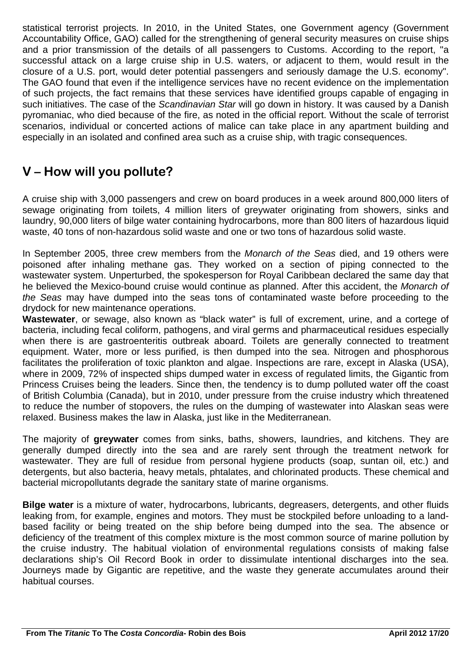statistical terrorist projects. In 2010, in the United States, one Government agency (Government Accountability Office, GAO) called for the strengthening of general security measures on cruise ships and a prior transmission of the details of all passengers to Customs. According to the report, "a successful attack on a large cruise ship in U.S. waters, or adjacent to them, would result in the closure of a U.S. port, would deter potential passengers and seriously damage the U.S. economy". The GAO found that even if the intelligence services have no recent evidence on the implementation of such projects, the fact remains that these services have identified groups capable of engaging in such initiatives. The case of the *Scandinavian Star* will go down in history. It was caused by a Danish pyromaniac, who died because of the fire, as noted in the official report. Without the scale of terrorist scenarios, individual or concerted actions of malice can take place in any apartment building and especially in an isolated and confined area such as a cruise ship, with tragic consequences.

## **V – How will you pollute?**

A cruise ship with 3,000 passengers and crew on board produces in a week around 800,000 liters of sewage originating from toilets, 4 million liters of greywater originating from showers, sinks and laundry, 90,000 liters of bilge water containing hydrocarbons, more than 800 liters of hazardous liquid waste, 40 tons of non-hazardous solid waste and one or two tons of hazardous solid waste.

In September 2005, three crew members from the *Monarch of the Seas* died, and 19 others were poisoned after inhaling methane gas. They worked on a section of piping connected to the wastewater system. Unperturbed, the spokesperson for Royal Caribbean declared the same day that he believed the Mexico-bound cruise would continue as planned. After this accident, the *Monarch of the Seas* may have dumped into the seas tons of contaminated waste before proceeding to the drydock for new maintenance operations.

**Wastewater**, or sewage, also known as "black water" is full of excrement, urine, and a cortege of bacteria, including fecal coliform, pathogens, and viral germs and pharmaceutical residues especially when there is are gastroenteritis outbreak aboard. Toilets are generally connected to treatment equipment. Water, more or less purified, is then dumped into the sea. Nitrogen and phosphorous facilitates the proliferation of toxic plankton and algae. Inspections are rare, except in Alaska (USA), where in 2009, 72% of inspected ships dumped water in excess of regulated limits, the Gigantic from Princess Cruises being the leaders. Since then, the tendency is to dump polluted water off the coast of British Columbia (Canada), but in 2010, under pressure from the cruise industry which threatened to reduce the number of stopovers, the rules on the dumping of wastewater into Alaskan seas were relaxed. Business makes the law in Alaska, just like in the Mediterranean.

The majority of **greywater** comes from sinks, baths, showers, laundries, and kitchens. They are generally dumped directly into the sea and are rarely sent through the treatment network for wastewater. They are full of residue from personal hygiene products (soap, suntan oil, etc.) and detergents, but also bacteria, heavy metals, phtalates, and chlorinated products. These chemical and bacterial micropollutants degrade the sanitary state of marine organisms.

**Bilge water** is a mixture of water, hydrocarbons, lubricants, degreasers, detergents, and other fluids leaking from, for example, engines and motors. They must be stockpiled before unloading to a landbased facility or being treated on the ship before being dumped into the sea. The absence or deficiency of the treatment of this complex mixture is the most common source of marine pollution by the cruise industry. The habitual violation of environmental regulations consists of making false declarations ship's Oil Record Book in order to dissimulate intentional discharges into the sea. Journeys made by Gigantic are repetitive, and the waste they generate accumulates around their habitual courses.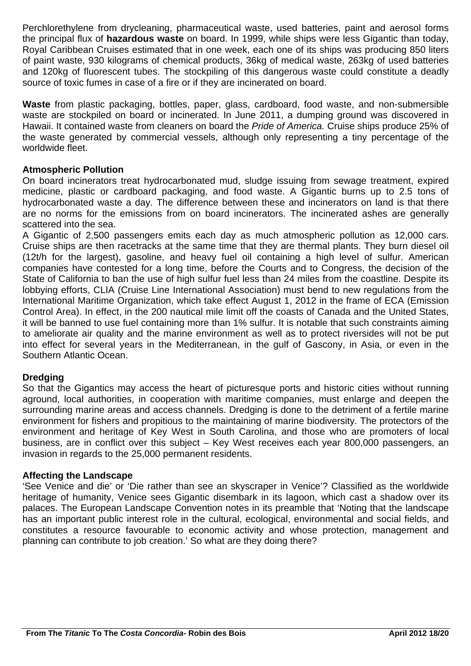Perchlorethylene from drycleaning, pharmaceutical waste, used batteries, paint and aerosol forms the principal flux of **hazardous waste** on board. In 1999, while ships were less Gigantic than today, Royal Caribbean Cruises estimated that in one week, each one of its ships was producing 850 liters of paint waste, 930 kilograms of chemical products, 36kg of medical waste, 263kg of used batteries and 120kg of fluorescent tubes. The stockpiling of this dangerous waste could constitute a deadly source of toxic fumes in case of a fire or if they are incinerated on board.

**Waste** from plastic packaging, bottles, paper, glass, cardboard, food waste, and non-submersible waste are stockpiled on board or incinerated. In June 2011, a dumping ground was discovered in Hawaii. It contained waste from cleaners on board the *Pride of America.* Cruise ships produce 25% of the waste generated by commercial vessels, although only representing a tiny percentage of the worldwide fleet.

#### **Atmospheric Pollution**

On board incinerators treat hydrocarbonated mud, sludge issuing from sewage treatment, expired medicine, plastic or cardboard packaging, and food waste. A Gigantic burns up to 2.5 tons of hydrocarbonated waste a day. The difference between these and incinerators on land is that there are no norms for the emissions from on board incinerators. The incinerated ashes are generally scattered into the sea.

A Gigantic of 2,500 passengers emits each day as much atmospheric pollution as 12,000 cars. Cruise ships are then racetracks at the same time that they are thermal plants. They burn diesel oil (12t/h for the largest), gasoline, and heavy fuel oil containing a high level of sulfur. American companies have contested for a long time, before the Courts and to Congress, the decision of the State of California to ban the use of high sulfur fuel less than 24 miles from the coastline. Despite its lobbying efforts, CLIA (Cruise Line International Association) must bend to new regulations from the International Maritime Organization, which take effect August 1, 2012 in the frame of ECA (Emission Control Area). In effect, in the 200 nautical mile limit off the coasts of Canada and the United States, it will be banned to use fuel containing more than 1% sulfur. It is notable that such constraints aiming to ameliorate air quality and the marine environment as well as to protect riversides will not be put into effect for several years in the Mediterranean, in the gulf of Gascony, in Asia, or even in the Southern Atlantic Ocean.

#### **Dredging**

So that the Gigantics may access the heart of picturesque ports and historic cities without running aground, local authorities, in cooperation with maritime companies, must enlarge and deepen the surrounding marine areas and access channels. Dredging is done to the detriment of a fertile marine environment for fishers and propitious to the maintaining of marine biodiversity. The protectors of the environment and heritage of Key West in South Carolina, and those who are promoters of local business, are in conflict over this subject – Key West receives each year 800,000 passengers, an invasion in regards to the 25,000 permanent residents.

#### **Affecting the Landscape**

'See Venice and die' or 'Die rather than see an skyscraper in Venice'? Classified as the worldwide heritage of humanity, Venice sees Gigantic disembark in its lagoon, which cast a shadow over its palaces. The European Landscape Convention notes in its preamble that 'Noting that the landscape has an important public interest role in the cultural, ecological, environmental and social fields, and constitutes a resource favourable to economic activity and whose protection, management and planning can contribute to job creation.' So what are they doing there?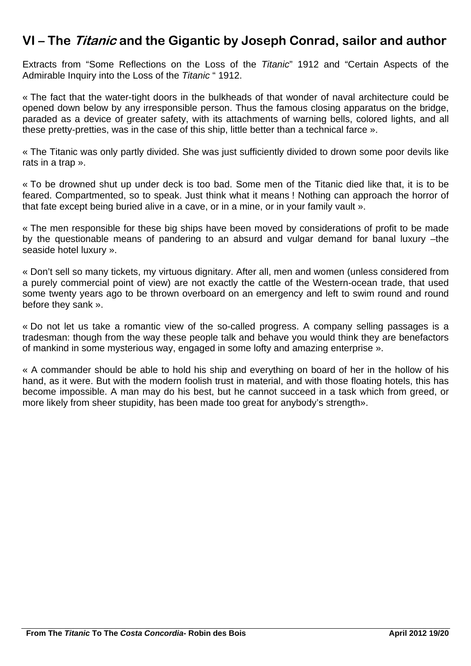## **VI – The Titanic and the Gigantic by Joseph Conrad, sailor and author**

Extracts from "Some Reflections on the Loss of the *Titanic*" 1912 and "Certain Aspects of the Admirable Inquiry into the Loss of the *Titanic* " 1912.

« The fact that the water-tight doors in the bulkheads of that wonder of naval architecture could be opened down below by any irresponsible person. Thus the famous closing apparatus on the bridge, paraded as a device of greater safety, with its attachments of warning bells, colored lights, and all these pretty-pretties, was in the case of this ship, little better than a technical farce ».

« The Titanic was only partly divided. She was just sufficiently divided to drown some poor devils like rats in a trap ».

« To be drowned shut up under deck is too bad. Some men of the Titanic died like that, it is to be feared. Compartmented, so to speak. Just think what it means ! Nothing can approach the horror of that fate except being buried alive in a cave, or in a mine, or in your family vault ».

« The men responsible for these big ships have been moved by considerations of profit to be made by the questionable means of pandering to an absurd and vulgar demand for banal luxury –the seaside hotel luxury ».

« Don't sell so many tickets, my virtuous dignitary. After all, men and women (unless considered from a purely commercial point of view) are not exactly the cattle of the Western-ocean trade, that used some twenty years ago to be thrown overboard on an emergency and left to swim round and round before they sank ».

« Do not let us take a romantic view of the so-called progress. A company selling passages is a tradesman: though from the way these people talk and behave you would think they are benefactors of mankind in some mysterious way, engaged in some lofty and amazing enterprise ».

« A commander should be able to hold his ship and everything on board of her in the hollow of his hand, as it were. But with the modern foolish trust in material, and with those floating hotels, this has become impossible. A man may do his best, but he cannot succeed in a task which from greed, or more likely from sheer stupidity, has been made too great for anybody's strength».